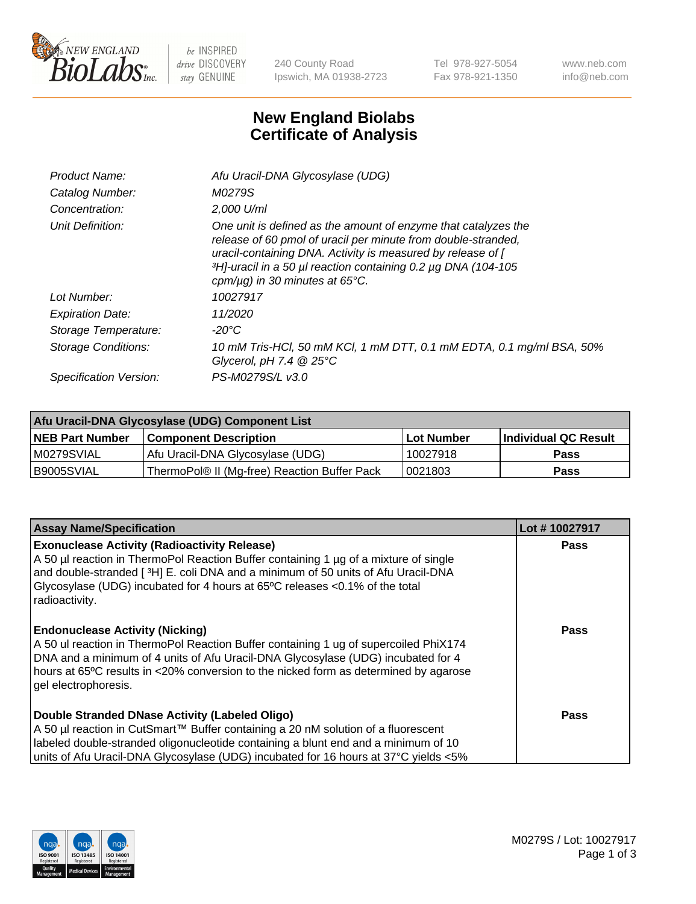

 $be$  INSPIRED drive DISCOVERY stay GENUINE

240 County Road Ipswich, MA 01938-2723 Tel 978-927-5054 Fax 978-921-1350 www.neb.com info@neb.com

## **New England Biolabs Certificate of Analysis**

| Afu Uracil-DNA Glycosylase (UDG)                                                                                                                                                                                                                                                                                     |
|----------------------------------------------------------------------------------------------------------------------------------------------------------------------------------------------------------------------------------------------------------------------------------------------------------------------|
| M0279S                                                                                                                                                                                                                                                                                                               |
| 2,000 U/ml                                                                                                                                                                                                                                                                                                           |
| One unit is defined as the amount of enzyme that catalyzes the<br>release of 60 pmol of uracil per minute from double-stranded,<br>uracil-containing DNA. Activity is measured by release of [<br>3H <sub>1</sub> -uracil in a 50 µl reaction containing 0.2 µg DNA (104-105<br>cpm/ $\mu$ g) in 30 minutes at 65°C. |
| 10027917                                                                                                                                                                                                                                                                                                             |
| 11/2020                                                                                                                                                                                                                                                                                                              |
| $-20^{\circ}$ C                                                                                                                                                                                                                                                                                                      |
| 10 mM Tris-HCl, 50 mM KCl, 1 mM DTT, 0.1 mM EDTA, 0.1 mg/ml BSA, 50%<br>Glycerol, pH 7.4 $@25^{\circ}C$                                                                                                                                                                                                              |
| PS-M0279S/L v3.0                                                                                                                                                                                                                                                                                                     |
|                                                                                                                                                                                                                                                                                                                      |

| Afu Uracil-DNA Glycosylase (UDG) Component List |                                              |                   |                      |  |
|-------------------------------------------------|----------------------------------------------|-------------------|----------------------|--|
| <b>NEB Part Number</b>                          | <b>Component Description</b>                 | <b>Lot Number</b> | Individual QC Result |  |
| IM0279SVIAL                                     | Afu Uracil-DNA Glycosylase (UDG)             | 10027918          | <b>Pass</b>          |  |
| I B9005SVIAL                                    | ThermoPol® II (Mg-free) Reaction Buffer Pack | 0021803           | Pass                 |  |

| <b>Assay Name/Specification</b>                                                                                                                                                                                                                                                                                                    | Lot #10027917 |
|------------------------------------------------------------------------------------------------------------------------------------------------------------------------------------------------------------------------------------------------------------------------------------------------------------------------------------|---------------|
| <b>Exonuclease Activity (Radioactivity Release)</b><br>A 50 µl reaction in ThermoPol Reaction Buffer containing 1 µg of a mixture of single<br>and double-stranded [3H] E. coli DNA and a minimum of 50 units of Afu Uracil-DNA<br>Glycosylase (UDG) incubated for 4 hours at 65°C releases <0.1% of the total<br>radioactivity.   | <b>Pass</b>   |
| <b>Endonuclease Activity (Nicking)</b><br>A 50 ul reaction in ThermoPol Reaction Buffer containing 1 ug of supercoiled PhiX174<br>DNA and a minimum of 4 units of Afu Uracil-DNA Glycosylase (UDG) incubated for 4<br>hours at 65°C results in <20% conversion to the nicked form as determined by agarose<br>gel electrophoresis. | Pass          |
| Double Stranded DNase Activity (Labeled Oligo)<br>A 50 µl reaction in CutSmart™ Buffer containing a 20 nM solution of a fluorescent<br>labeled double-stranded oligonucleotide containing a blunt end and a minimum of 10<br>units of Afu Uracil-DNA Glycosylase (UDG) incubated for 16 hours at 37°C yields <5%                   | <b>Pass</b>   |

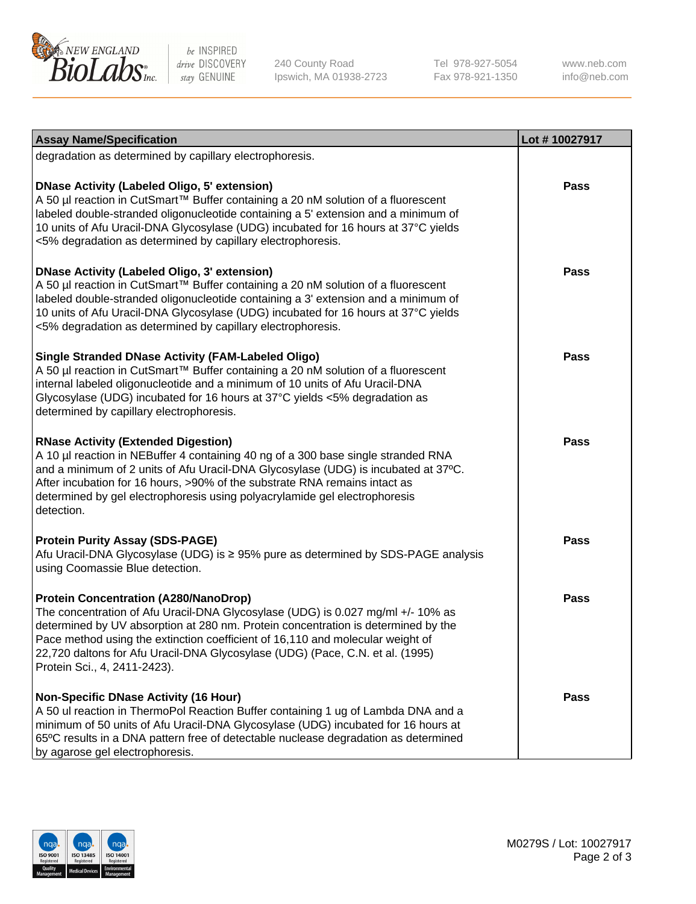

be INSPIRED drive DISCOVERY stay GENUINE

240 County Road Ipswich, MA 01938-2723 Tel 978-927-5054 Fax 978-921-1350

www.neb.com info@neb.com

| <b>Assay Name/Specification</b>                                                                                                                                                                                                                                                                                                                                                                                         | Lot #10027917 |
|-------------------------------------------------------------------------------------------------------------------------------------------------------------------------------------------------------------------------------------------------------------------------------------------------------------------------------------------------------------------------------------------------------------------------|---------------|
| degradation as determined by capillary electrophoresis.                                                                                                                                                                                                                                                                                                                                                                 |               |
| <b>DNase Activity (Labeled Oligo, 5' extension)</b><br>A 50 µl reaction in CutSmart™ Buffer containing a 20 nM solution of a fluorescent<br>labeled double-stranded oligonucleotide containing a 5' extension and a minimum of<br>10 units of Afu Uracil-DNA Glycosylase (UDG) incubated for 16 hours at 37°C yields<br><5% degradation as determined by capillary electrophoresis.                                     | <b>Pass</b>   |
| <b>DNase Activity (Labeled Oligo, 3' extension)</b><br>A 50 µl reaction in CutSmart™ Buffer containing a 20 nM solution of a fluorescent<br>labeled double-stranded oligonucleotide containing a 3' extension and a minimum of<br>10 units of Afu Uracil-DNA Glycosylase (UDG) incubated for 16 hours at 37°C yields<br><5% degradation as determined by capillary electrophoresis.                                     | <b>Pass</b>   |
| <b>Single Stranded DNase Activity (FAM-Labeled Oligo)</b><br>A 50 µl reaction in CutSmart™ Buffer containing a 20 nM solution of a fluorescent<br>internal labeled oligonucleotide and a minimum of 10 units of Afu Uracil-DNA<br>Glycosylase (UDG) incubated for 16 hours at 37°C yields <5% degradation as<br>determined by capillary electrophoresis.                                                                | Pass          |
| <b>RNase Activity (Extended Digestion)</b><br>A 10 µl reaction in NEBuffer 4 containing 40 ng of a 300 base single stranded RNA<br>and a minimum of 2 units of Afu Uracil-DNA Glycosylase (UDG) is incubated at 37°C.<br>After incubation for 16 hours, >90% of the substrate RNA remains intact as<br>determined by gel electrophoresis using polyacrylamide gel electrophoresis<br>detection.                         | <b>Pass</b>   |
| <b>Protein Purity Assay (SDS-PAGE)</b><br>Afu Uracil-DNA Glycosylase (UDG) is ≥ 95% pure as determined by SDS-PAGE analysis<br>using Coomassie Blue detection.                                                                                                                                                                                                                                                          | <b>Pass</b>   |
| <b>Protein Concentration (A280/NanoDrop)</b><br>The concentration of Afu Uracil-DNA Glycosylase (UDG) is 0.027 mg/ml +/- 10% as<br>determined by UV absorption at 280 nm. Protein concentration is determined by the<br>Pace method using the extinction coefficient of 16,110 and molecular weight of<br>22,720 daltons for Afu Uracil-DNA Glycosylase (UDG) (Pace, C.N. et al. (1995)<br>Protein Sci., 4, 2411-2423). | Pass          |
| <b>Non-Specific DNase Activity (16 Hour)</b><br>A 50 ul reaction in ThermoPol Reaction Buffer containing 1 ug of Lambda DNA and a<br>minimum of 50 units of Afu Uracil-DNA Glycosylase (UDG) incubated for 16 hours at<br>65°C results in a DNA pattern free of detectable nuclease degradation as determined<br>by agarose gel electrophoresis.                                                                        | Pass          |